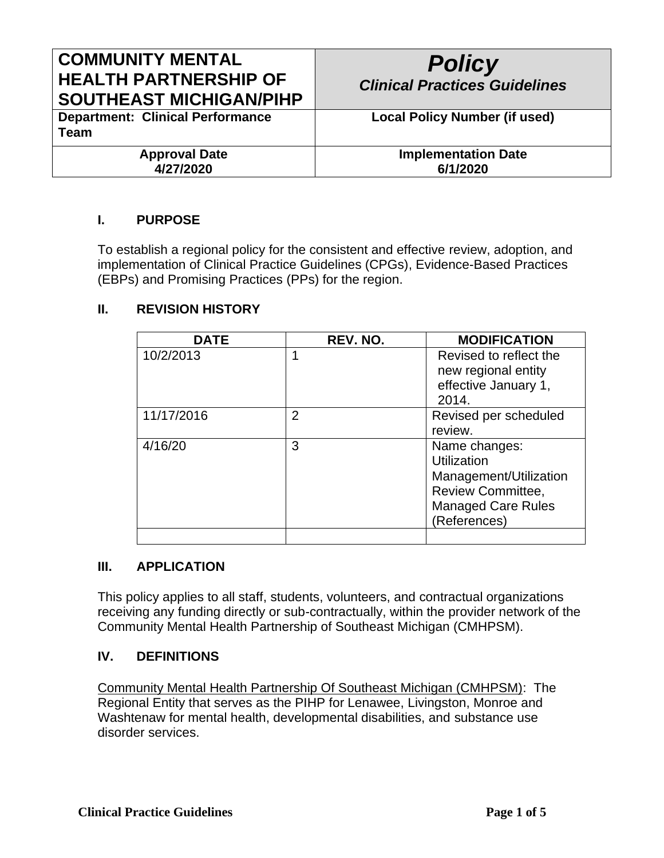# **COMMUNITY MENTAL HEALTH PARTNERSHIP OF SOUTHEAST MICHIGAN/PIHP**

| <b>Policy</b><br><b>Clinical Practices Guidelines</b> |
|-------------------------------------------------------|
| <b>Local Policy Number (if used)</b>                  |

**Department: Clinical Performance Team**

> **Approval Date 4/27/2020**

**Implementation Date 6/1/2020**

## **I. PURPOSE**

To establish a regional policy for the consistent and effective review, adoption, and implementation of Clinical Practice Guidelines (CPGs), Evidence-Based Practices (EBPs) and Promising Practices (PPs) for the region.

### **II. REVISION HISTORY**

| <b>DATE</b> | REV. NO.       | <b>MODIFICATION</b>       |
|-------------|----------------|---------------------------|
| 10/2/2013   | 1              | Revised to reflect the    |
|             |                | new regional entity       |
|             |                | effective January 1,      |
|             |                | 2014.                     |
| 11/17/2016  | $\overline{2}$ | Revised per scheduled     |
|             |                | review.                   |
| 4/16/20     | 3              | Name changes:             |
|             |                | Utilization               |
|             |                | Management/Utilization    |
|             |                | <b>Review Committee,</b>  |
|             |                | <b>Managed Care Rules</b> |
|             |                | (References)              |
|             |                |                           |

#### **III. APPLICATION**

This policy applies to all staff, students, volunteers, and contractual organizations receiving any funding directly or sub-contractually, within the provider network of the Community Mental Health Partnership of Southeast Michigan (CMHPSM).

#### **IV. DEFINITIONS**

Community Mental Health Partnership Of Southeast Michigan (CMHPSM): The Regional Entity that serves as the PIHP for Lenawee, Livingston, Monroe and Washtenaw for mental health, developmental disabilities, and substance use disorder services.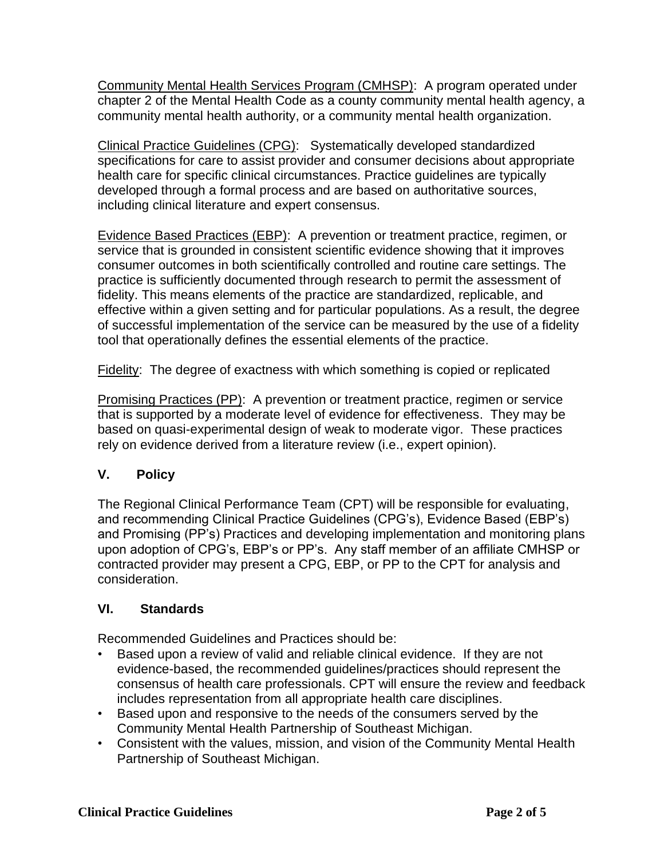Community Mental Health Services Program (CMHSP): A program operated under chapter 2 of the Mental Health Code as a county community mental health agency, a community mental health authority, or a community mental health organization.

Clinical Practice Guidelines (CPG): Systematically developed standardized specifications for care to assist provider and consumer decisions about appropriate health care for specific clinical circumstances. Practice guidelines are typically developed through a formal process and are based on authoritative sources, including clinical literature and expert consensus.

Evidence Based Practices (EBP): A prevention or treatment practice, regimen, or service that is grounded in consistent scientific evidence showing that it improves consumer outcomes in both scientifically controlled and routine care settings. The practice is sufficiently documented through research to permit the assessment of fidelity. This means elements of the practice are standardized, replicable, and effective within a given setting and for particular populations. As a result, the degree of successful implementation of the service can be measured by the use of a fidelity tool that operationally defines the essential elements of the practice.

Fidelity: The degree of exactness with which something is copied or replicated

Promising Practices (PP): A prevention or treatment practice, regimen or service that is supported by a moderate level of evidence for effectiveness. They may be based on quasi-experimental design of weak to moderate vigor. These practices rely on evidence derived from a literature review (i.e., expert opinion).

## **V. Policy**

The Regional Clinical Performance Team (CPT) will be responsible for evaluating, and recommending Clinical Practice Guidelines (CPG's), Evidence Based (EBP's) and Promising (PP's) Practices and developing implementation and monitoring plans upon adoption of CPG's, EBP's or PP's. Any staff member of an affiliate CMHSP or contracted provider may present a CPG, EBP, or PP to the CPT for analysis and consideration.

## **VI. Standards**

Recommended Guidelines and Practices should be:

- Based upon a review of valid and reliable clinical evidence. If they are not evidence-based, the recommended guidelines/practices should represent the consensus of health care professionals. CPT will ensure the review and feedback includes representation from all appropriate health care disciplines.
- Based upon and responsive to the needs of the consumers served by the Community Mental Health Partnership of Southeast Michigan.
- Consistent with the values, mission, and vision of the Community Mental Health Partnership of Southeast Michigan.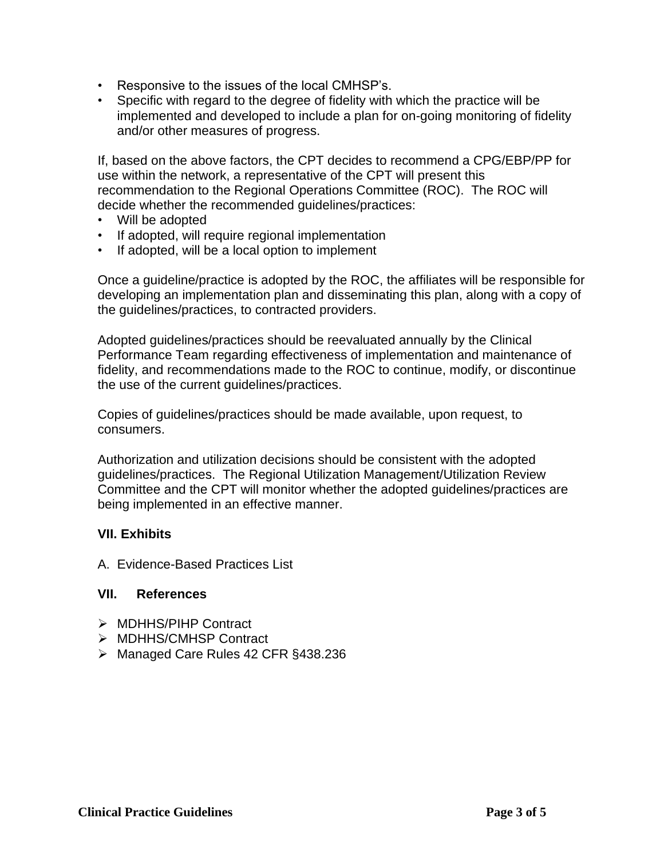- Responsive to the issues of the local CMHSP's.
- Specific with regard to the degree of fidelity with which the practice will be implemented and developed to include a plan for on-going monitoring of fidelity and/or other measures of progress.

If, based on the above factors, the CPT decides to recommend a CPG/EBP/PP for use within the network, a representative of the CPT will present this recommendation to the Regional Operations Committee (ROC). The ROC will decide whether the recommended guidelines/practices:

- Will be adopted
- If adopted, will require regional implementation
- If adopted, will be a local option to implement

Once a guideline/practice is adopted by the ROC, the affiliates will be responsible for developing an implementation plan and disseminating this plan, along with a copy of the guidelines/practices, to contracted providers.

Adopted guidelines/practices should be reevaluated annually by the Clinical Performance Team regarding effectiveness of implementation and maintenance of fidelity, and recommendations made to the ROC to continue, modify, or discontinue the use of the current guidelines/practices.

Copies of guidelines/practices should be made available, upon request, to consumers.

Authorization and utilization decisions should be consistent with the adopted guidelines/practices. The Regional Utilization Management/Utilization Review Committee and the CPT will monitor whether the adopted guidelines/practices are being implemented in an effective manner.

#### **VII. Exhibits**

A. Evidence-Based Practices List

#### **VII. References**

- ➢ MDHHS/PIHP Contract
- ➢ MDHHS/CMHSP Contract
- ➢ Managed Care Rules 42 CFR §438.236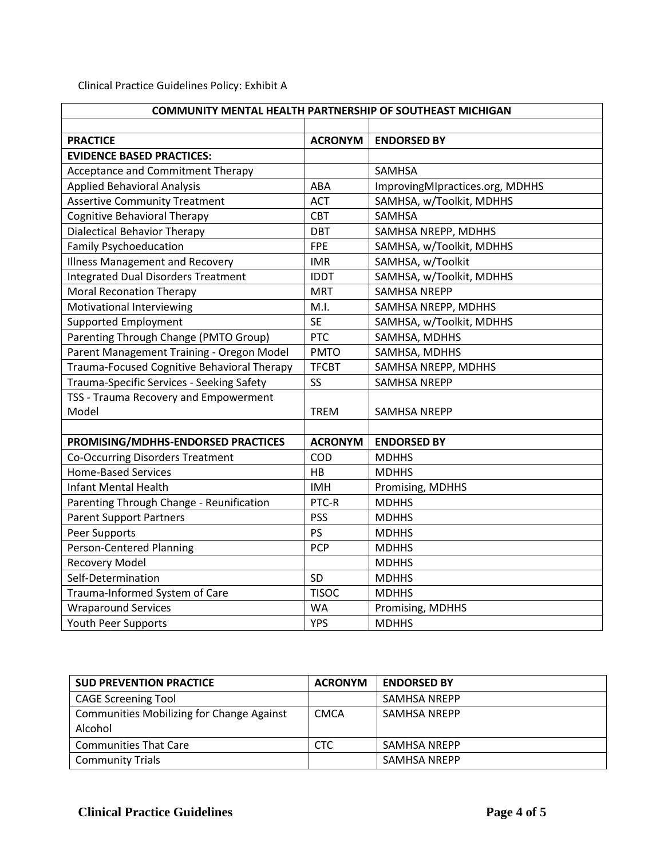Clinical Practice Guidelines Policy: Exhibit A

| COMMUNITY MENTAL HEALTH PARTNERSHIP OF SOUTHEAST MICHIGAN |                |                                 |  |
|-----------------------------------------------------------|----------------|---------------------------------|--|
|                                                           |                |                                 |  |
| <b>PRACTICE</b>                                           | <b>ACRONYM</b> | <b>ENDORSED BY</b>              |  |
| <b>EVIDENCE BASED PRACTICES:</b>                          |                |                                 |  |
| Acceptance and Commitment Therapy                         |                | <b>SAMHSA</b>                   |  |
| <b>Applied Behavioral Analysis</b>                        | ABA            | ImprovingMIpractices.org, MDHHS |  |
| <b>Assertive Community Treatment</b>                      | <b>ACT</b>     | SAMHSA, w/Toolkit, MDHHS        |  |
| Cognitive Behavioral Therapy                              | <b>CBT</b>     | <b>SAMHSA</b>                   |  |
| <b>Dialectical Behavior Therapy</b>                       | DBT            | SAMHSA NREPP, MDHHS             |  |
| <b>Family Psychoeducation</b>                             | <b>FPE</b>     | SAMHSA, w/Toolkit, MDHHS        |  |
| <b>Illness Management and Recovery</b>                    | <b>IMR</b>     | SAMHSA, w/Toolkit               |  |
| <b>Integrated Dual Disorders Treatment</b>                | <b>IDDT</b>    | SAMHSA, w/Toolkit, MDHHS        |  |
| <b>Moral Reconation Therapy</b>                           | <b>MRT</b>     | <b>SAMHSA NREPP</b>             |  |
| Motivational Interviewing                                 | M.I.           | SAMHSA NREPP, MDHHS             |  |
| <b>Supported Employment</b>                               | <b>SE</b>      | SAMHSA, w/Toolkit, MDHHS        |  |
| Parenting Through Change (PMTO Group)                     | <b>PTC</b>     | SAMHSA, MDHHS                   |  |
| Parent Management Training - Oregon Model                 | <b>PMTO</b>    | SAMHSA, MDHHS                   |  |
| Trauma-Focused Cognitive Behavioral Therapy               | <b>TFCBT</b>   | SAMHSA NREPP, MDHHS             |  |
| Trauma-Specific Services - Seeking Safety                 | <b>SS</b>      | <b>SAMHSA NREPP</b>             |  |
| TSS - Trauma Recovery and Empowerment                     |                |                                 |  |
| Model                                                     | <b>TREM</b>    | <b>SAMHSA NREPP</b>             |  |
|                                                           |                |                                 |  |
| PROMISING/MDHHS-ENDORSED PRACTICES                        | <b>ACRONYM</b> | <b>ENDORSED BY</b>              |  |
| Co-Occurring Disorders Treatment                          | COD            | <b>MDHHS</b>                    |  |
| <b>Home-Based Services</b>                                | HB             | <b>MDHHS</b>                    |  |
| <b>Infant Mental Health</b>                               | <b>IMH</b>     | Promising, MDHHS                |  |
| Parenting Through Change - Reunification                  | PTC-R          | <b>MDHHS</b>                    |  |
| <b>Parent Support Partners</b>                            | <b>PSS</b>     | <b>MDHHS</b>                    |  |
| Peer Supports                                             | PS             | <b>MDHHS</b>                    |  |
| <b>Person-Centered Planning</b>                           | <b>PCP</b>     | <b>MDHHS</b>                    |  |
| <b>Recovery Model</b>                                     |                | <b>MDHHS</b>                    |  |
| Self-Determination                                        | SD             | <b>MDHHS</b>                    |  |
| Trauma-Informed System of Care                            | <b>TISOC</b>   | <b>MDHHS</b>                    |  |
| <b>Wraparound Services</b>                                | <b>WA</b>      | Promising, MDHHS                |  |
| Youth Peer Supports                                       | <b>YPS</b>     | <b>MDHHS</b>                    |  |

| <b>SUD PREVENTION PRACTICE</b>                   | <b>ACRONYM</b> | <b>ENDORSED BY</b>  |
|--------------------------------------------------|----------------|---------------------|
| <b>CAGE Screening Tool</b>                       |                | <b>SAMHSA NREPP</b> |
| <b>Communities Mobilizing for Change Against</b> | CMCA           | <b>SAMHSA NREPP</b> |
| Alcohol                                          |                |                     |
| <b>Communities That Care</b>                     | <b>CTC</b>     | <b>SAMHSA NREPP</b> |
| <b>Community Trials</b>                          |                | <b>SAMHSA NREPP</b> |